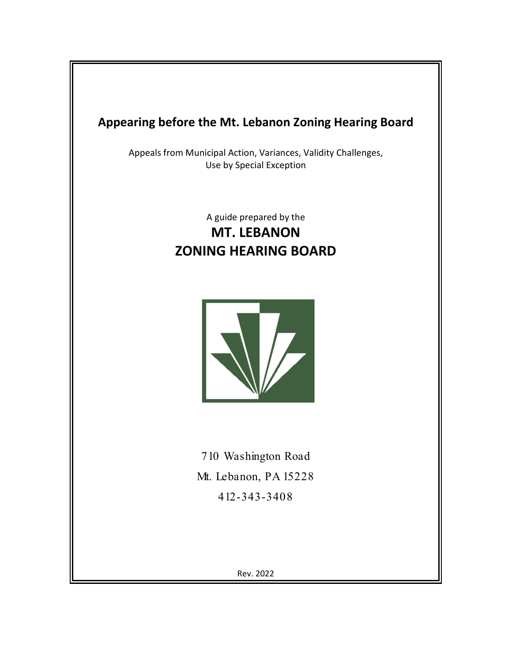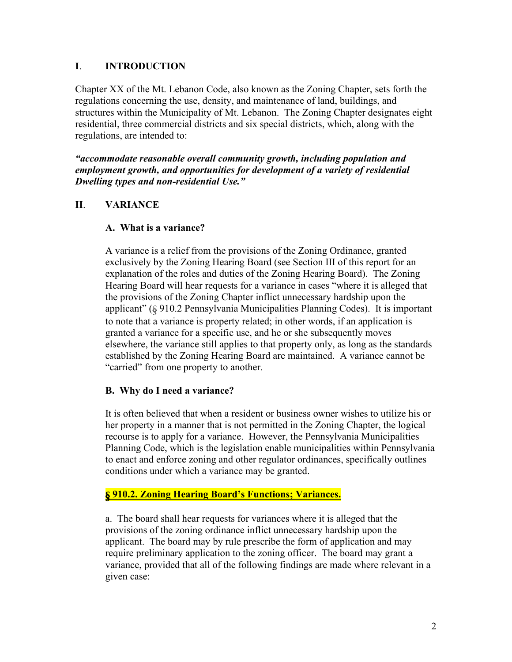#### **I**. **INTRODUCTION**

Chapter XX of the Mt. Lebanon Code, also known as the Zoning Chapter, sets forth the regulations concerning the use, density, and maintenance of land, buildings, and structures within the Municipality of Mt. Lebanon. The Zoning Chapter designates eight residential, three commercial districts and six special districts, which, along with the regulations, are intended to:

*"accommodate reasonable overall community growth, including population and employment growth, and opportunities for development of a variety of residential Dwelling types and non-residential Use."*

## **II**. **VARIANCE**

#### **A. What is a variance?**

A variance is a relief from the provisions of the Zoning Ordinance, granted exclusively by the Zoning Hearing Board (see Section III of this report for an explanation of the roles and duties of the Zoning Hearing Board). The Zoning Hearing Board will hear requests for a variance in cases "where it is alleged that the provisions of the Zoning Chapter inflict unnecessary hardship upon the applicant" (§ 910.2 Pennsylvania Municipalities Planning Codes). It is important to note that a variance is property related; in other words, if an application is granted a variance for a specific use, and he or she subsequently moves elsewhere, the variance still applies to that property only, as long as the standards established by the Zoning Hearing Board are maintained. A variance cannot be "carried" from one property to another.

## **B. Why do I need a variance?**

It is often believed that when a resident or business owner wishes to utilize his or her property in a manner that is not permitted in the Zoning Chapter, the logical recourse is to apply for a variance. However, the Pennsylvania Municipalities Planning Code, which is the legislation enable municipalities within Pennsylvania to enact and enforce zoning and other regulator ordinances, specifically outlines conditions under which a variance may be granted.

#### § **910.2. Zoning Hearing Board's Functions; Variances.**

a. The board shall hear requests for variances where it is alleged that the provisions of the zoning ordinance inflict unnecessary hardship upon the applicant. The board may by rule prescribe the form of application and may require preliminary application to the zoning officer. The board may grant a variance, provided that all of the following findings are made where relevant in a given case: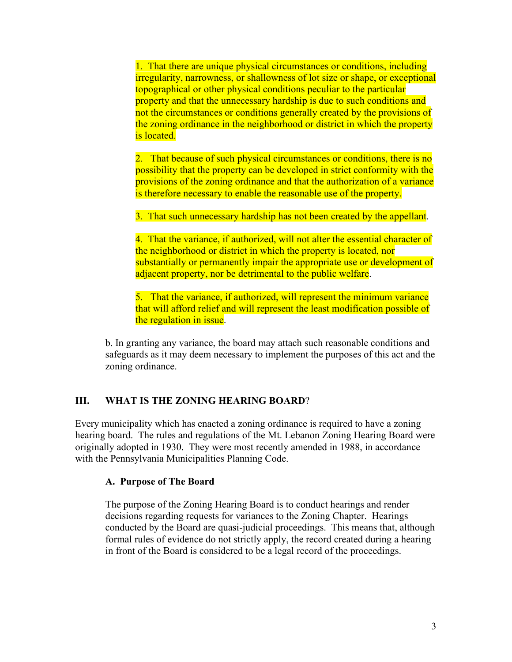1. That there are unique physical circumstances or conditions, including irregularity, narrowness, or shallowness of lot size or shape, or exceptional topographical or other physical conditions peculiar to the particular property and that the unnecessary hardship is due to such conditions and not the circumstances or conditions generally created by the provisions of the zoning ordinance in the neighborhood or district in which the property is located.

2. That because of such physical circumstances or conditions, there is no possibility that the property can be developed in strict conformity with the provisions of the zoning ordinance and that the authorization of a variance is therefore necessary to enable the reasonable use of the property.

3. That such unnecessary hardship has not been created by the appellant.

4. That the variance, if authorized, will not alter the essential character of the neighborhood or district in which the property is located, nor substantially or permanently impair the appropriate use or development of adjacent property, nor be detrimental to the public welfare.

5. That the variance, if authorized, will represent the minimum variance that will afford relief and will represent the least modification possible of the regulation in issue.

b. In granting any variance, the board may attach such reasonable conditions and safeguards as it may deem necessary to implement the purposes of this act and the zoning ordinance.

## **III. WHAT IS THE ZONING HEARING BOARD**?

Every municipality which has enacted a zoning ordinance is required to have a zoning hearing board. The rules and regulations of the Mt. Lebanon Zoning Hearing Board were originally adopted in 1930. They were most recently amended in 1988, in accordance with the Pennsylvania Municipalities Planning Code.

## **A. Purpose of The Board**

The purpose of the Zoning Hearing Board is to conduct hearings and render decisions regarding requests for variances to the Zoning Chapter. Hearings conducted by the Board are quasi-judicial proceedings. This means that, although formal rules of evidence do not strictly apply, the record created during a hearing in front of the Board is considered to be a legal record of the proceedings.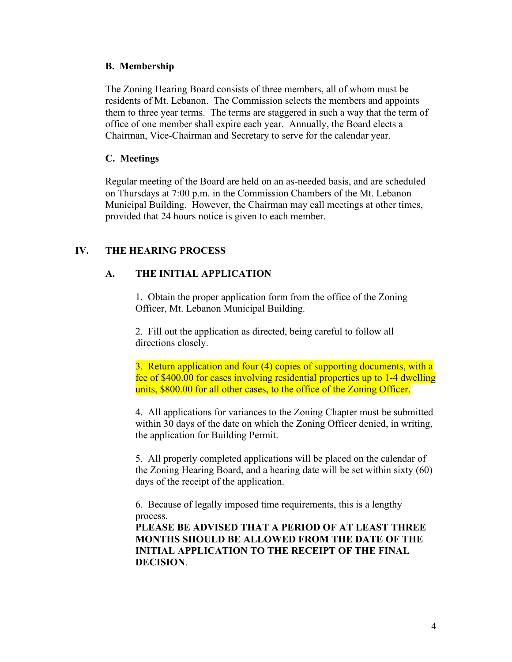#### **B. Membership**

The Zoning Hearing Board consists of three members, all of whom must be residents of Mt. Lebanon. The Commission selects the members and appoints them to three year terms. The terms are staggered in such a way that the term of office of one member shall expire each year. Annually, the Board elects a Chairman, Vice-Chairman and Secretary to serve for the calendar year.

#### **C. Meetings**

Regular meeting of the Board are held on an as-needed basis, and are scheduled on Thursdays at 7:00 p.m. in the Commission Chambers of the Mt. Lebanon Municipal Building. However, the Chairman may call meetings at other times, provided that 24 hours notice is given to each member.

# **IV. THE HEARING PROCESS**

# **A. THE INITIAL APPLICATION**

1. Obtain the proper application form from the office of the Zoning Officer, Mt. Lebanon Municipal Building.

2. Fill out the application as directed, being careful to follow all directions closely.

3. Return application and four (4) copies of supporting documents, with a fee of \$400.00 for cases involving residential properties up to 1-4 dwelling units, \$800.00 for all other cases, to the office of the Zoning Officer.

4. All applications for variances to the Zoning Chapter must be submitted within 30 days of the date on which the Zoning Officer denied, in writing, the application for Building Permit.

5. All properly completed applications will be placed on the calendar of the Zoning Hearing Board, and a hearing date will be set within sixty (60) days of the receipt of the application.

6. Because of legally imposed time requirements, this is a lengthy process.

**PLEASE BE ADVISED THAT A PERIOD OF AT LEAST THREE MONTHS SHOULD BE ALLOWED FROM THE DATE OF THE INITIAL APPLICATION TO THE RECEIPT OF THE FINAL DECISION**.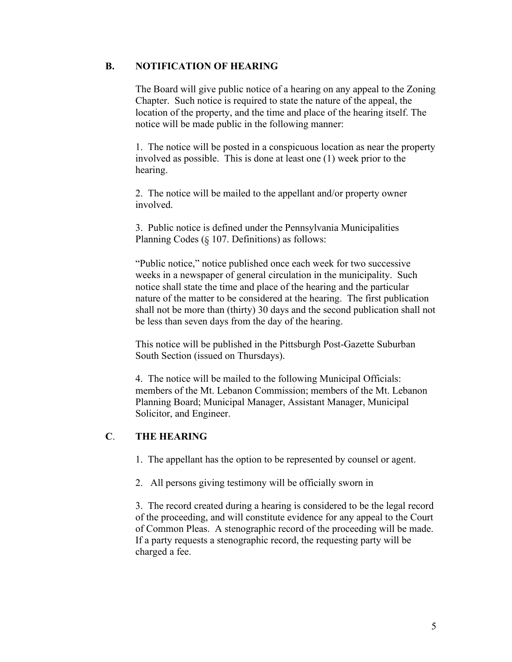#### **B. NOTIFICATION OF HEARING**

The Board will give public notice of a hearing on any appeal to the Zoning Chapter. Such notice is required to state the nature of the appeal, the location of the property, and the time and place of the hearing itself. The notice will be made public in the following manner:

1. The notice will be posted in a conspicuous location as near the property involved as possible. This is done at least one (1) week prior to the hearing.

2. The notice will be mailed to the appellant and/or property owner involved.

3. Public notice is defined under the Pennsylvania Municipalities Planning Codes (§ 107. Definitions) as follows:

"Public notice," notice published once each week for two successive weeks in a newspaper of general circulation in the municipality. Such notice shall state the time and place of the hearing and the particular nature of the matter to be considered at the hearing. The first publication shall not be more than (thirty) 30 days and the second publication shall not be less than seven days from the day of the hearing.

This notice will be published in the Pittsburgh Post-Gazette Suburban South Section (issued on Thursdays).

4. The notice will be mailed to the following Municipal Officials: members of the Mt. Lebanon Commission; members of the Mt. Lebanon Planning Board; Municipal Manager, Assistant Manager, Municipal Solicitor, and Engineer.

## **C**. **THE HEARING**

1. The appellant has the option to be represented by counsel or agent.

2. All persons giving testimony will be officially sworn in

3. The record created during a hearing is considered to be the legal record of the proceeding, and will constitute evidence for any appeal to the Court of Common Pleas. A stenographic record of the proceeding will be made. If a party requests a stenographic record, the requesting party will be charged a fee.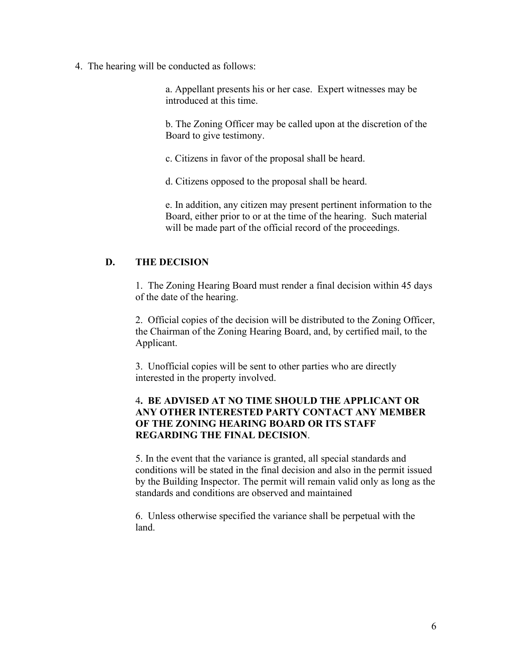4. The hearing will be conducted as follows:

a. Appellant presents his or her case. Expert witnesses may be introduced at this time.

b. The Zoning Officer may be called upon at the discretion of the Board to give testimony.

c. Citizens in favor of the proposal shall be heard.

d. Citizens opposed to the proposal shall be heard.

e. In addition, any citizen may present pertinent information to the Board, either prior to or at the time of the hearing. Such material will be made part of the official record of the proceedings.

## **D. THE DECISION**

1. The Zoning Hearing Board must render a final decision within 45 days of the date of the hearing.

2. Official copies of the decision will be distributed to the Zoning Officer, the Chairman of the Zoning Hearing Board, and, by certified mail, to the Applicant.

3. Unofficial copies will be sent to other parties who are directly interested in the property involved.

#### 4**. BE ADVISED AT NO TIME SHOULD THE APPLICANT OR ANY OTHER INTERESTED PARTY CONTACT ANY MEMBER OF THE ZONING HEARING BOARD OR ITS STAFF REGARDING THE FINAL DECISION**.

5. In the event that the variance is granted, all special standards and conditions will be stated in the final decision and also in the permit issued by the Building Inspector. The permit will remain valid only as long as the standards and conditions are observed and maintained

6. Unless otherwise specified the variance shall be perpetual with the land.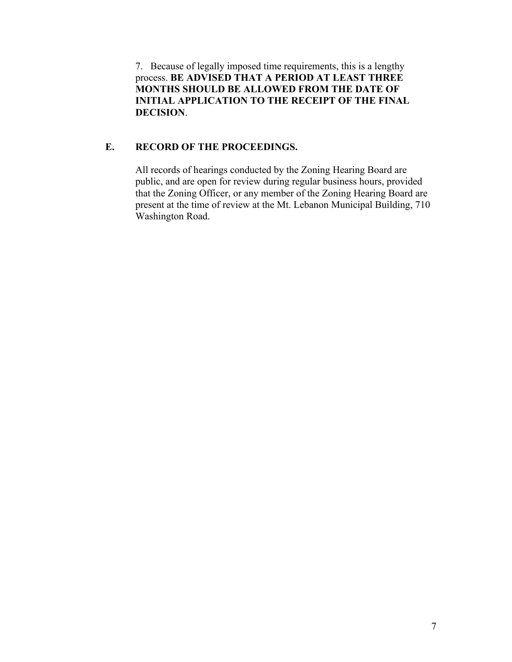7. Because of legally imposed time requirements, this is a lengthy process. **BE ADVISED THAT A PERIOD AT LEAST THREE MONTHS SHOULD BE ALLOWED FROM THE DATE OF INITIAL APPLICATION TO THE RECEIPT OF THE FINAL DECISION**.

#### **E. RECORD OF THE PROCEEDINGS.**

All records of hearings conducted by the Zoning Hearing Board are public, and are open for review during regular business hours, provided that the Zoning Officer, or any member of the Zoning Hearing Board are present at the time of review at the Mt. Lebanon Municipal Building, 710 Washington Road.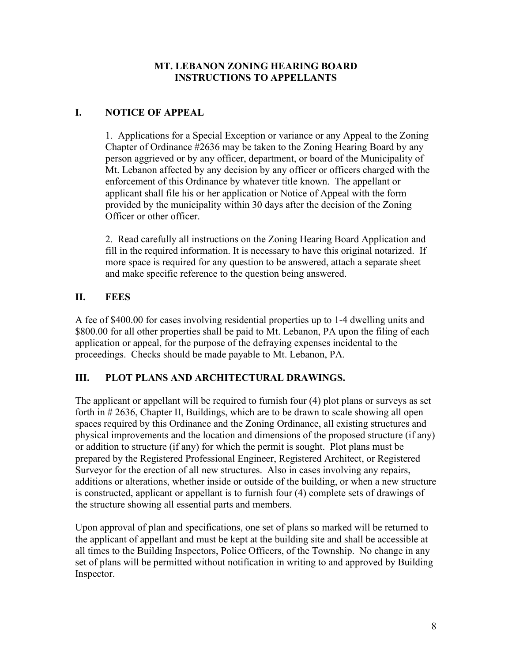## **MT. LEBANON ZONING HEARING BOARD INSTRUCTIONS TO APPELLANTS**

# **I. NOTICE OF APPEAL**

1. Applications for a Special Exception or variance or any Appeal to the Zoning Chapter of Ordinance #2636 may be taken to the Zoning Hearing Board by any person aggrieved or by any officer, department, or board of the Municipality of Mt. Lebanon affected by any decision by any officer or officers charged with the enforcement of this Ordinance by whatever title known. The appellant or applicant shall file his or her application or Notice of Appeal with the form provided by the municipality within 30 days after the decision of the Zoning Officer or other officer.

2. Read carefully all instructions on the Zoning Hearing Board Application and fill in the required information. It is necessary to have this original notarized. If more space is required for any question to be answered, attach a separate sheet and make specific reference to the question being answered.

# **II. FEES**

A fee of \$400.00 for cases involving residential properties up to 1-4 dwelling units and \$800.00 for all other properties shall be paid to Mt. Lebanon, PA upon the filing of each application or appeal, for the purpose of the defraying expenses incidental to the proceedings. Checks should be made payable to Mt. Lebanon, PA.

# **III. PLOT PLANS AND ARCHITECTURAL DRAWINGS.**

The applicant or appellant will be required to furnish four (4) plot plans or surveys as set forth in # 2636, Chapter II, Buildings, which are to be drawn to scale showing all open spaces required by this Ordinance and the Zoning Ordinance, all existing structures and physical improvements and the location and dimensions of the proposed structure (if any) or addition to structure (if any) for which the permit is sought. Plot plans must be prepared by the Registered Professional Engineer, Registered Architect, or Registered Surveyor for the erection of all new structures. Also in cases involving any repairs, additions or alterations, whether inside or outside of the building, or when a new structure is constructed, applicant or appellant is to furnish four (4) complete sets of drawings of the structure showing all essential parts and members.

Upon approval of plan and specifications, one set of plans so marked will be returned to the applicant of appellant and must be kept at the building site and shall be accessible at all times to the Building Inspectors, Police Officers, of the Township. No change in any set of plans will be permitted without notification in writing to and approved by Building Inspector.